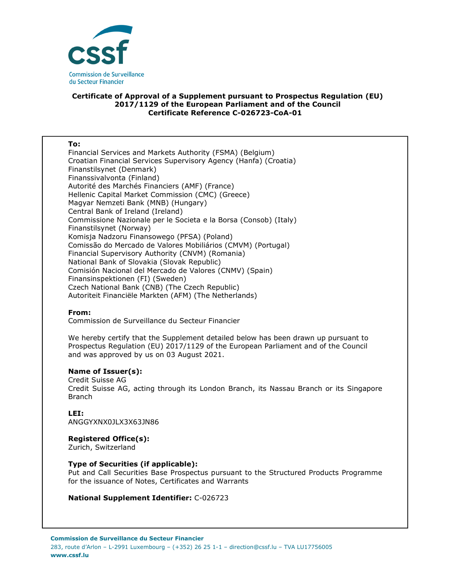

# **Certificate of Approval of a Supplement pursuant to Prospectus Regulation (EU) 2017/1129 of the European Parliament and of the Council Certificate Reference C-026723-CoA-01**

#### **To:**

Financial Services and Markets Authority (FSMA) (Belgium) Croatian Financial Services Supervisory Agency (Hanfa) (Croatia) Finanstilsynet (Denmark) Finanssivalvonta (Finland) Autorité des Marchés Financiers (AMF) (France) Hellenic Capital Market Commission (CMC) (Greece) Magyar Nemzeti Bank (MNB) (Hungary) Central Bank of Ireland (Ireland) Commissione Nazionale per le Societa e la Borsa (Consob) (Italy) Finanstilsynet (Norway) Komisja Nadzoru Finansowego (PFSA) (Poland) Comissão do Mercado de Valores Mobiliários (CMVM) (Portugal) Financial Supervisory Authority (CNVM) (Romania) National Bank of Slovakia (Slovak Republic) Comisión Nacional del Mercado de Valores (CNMV) (Spain) Finansinspektionen (FI) (Sweden) Czech National Bank (CNB) (The Czech Republic) Autoriteit Financiële Markten (AFM) (The Netherlands)

## **From:**

Commission de Surveillance du Secteur Financier

We hereby certify that the Supplement detailed below has been drawn up pursuant to Prospectus Regulation (EU) 2017/1129 of the European Parliament and of the Council and was approved by us on 03 August 2021.

## **Name of Issuer(s):**

Credit Suisse AG Credit Suisse AG, acting through its London Branch, its Nassau Branch or its Singapore Branch

# **LEI:**

ANGGYXNX0JLX3X63JN86

## **Registered Office(s):**

Zurich, Switzerland

## **Type of Securities (if applicable):**

Put and Call Securities Base Prospectus pursuant to the Structured Products Programme for the issuance of Notes, Certificates and Warrants

## **National Supplement Identifier:** C-026723